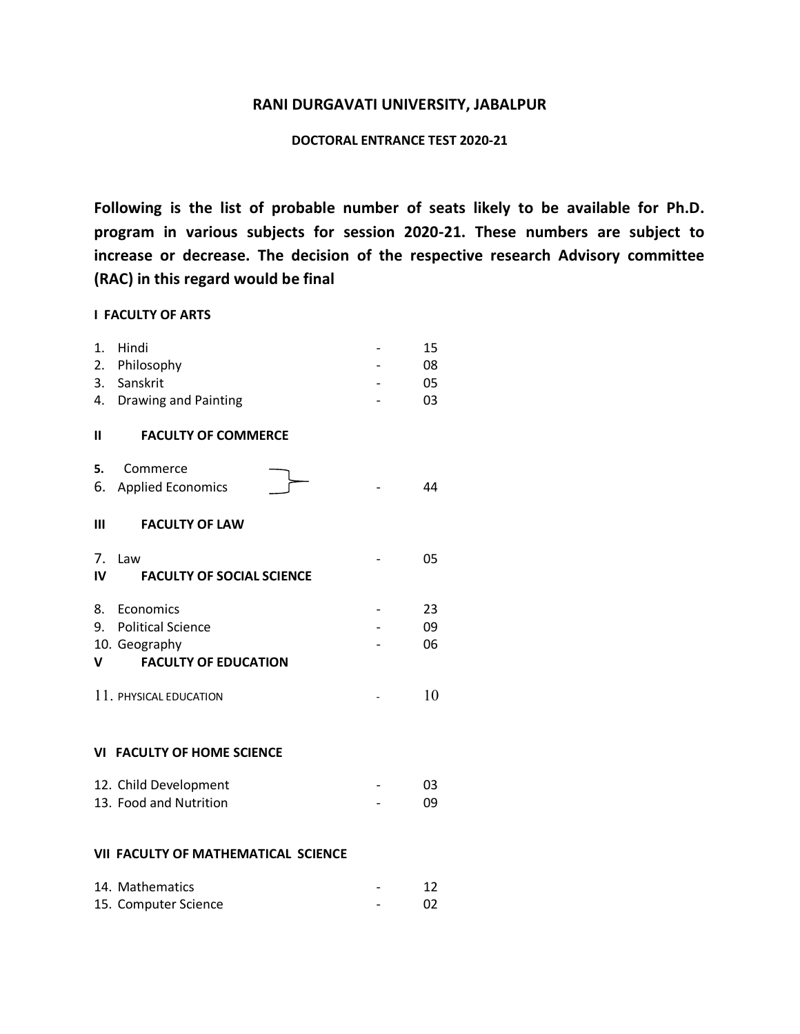### **RANI DURGAVATI UNIVERSITY, JABALPUR**

# **DOCTORAL ENTRANCE TEST 2020-21**

**Following is the list of probable number of seats likely to be available for Ph.D. program in various subjects for session 2020-21. These numbers are subject to increase or decrease. The decision of the respective research Advisory committee (RAC) in this regard would be final** 

#### **I FACULTY OF ARTS**

| 1.                                | Hindi<br>2. Philosophy              |  | 15<br>08 |  |  |  |
|-----------------------------------|-------------------------------------|--|----------|--|--|--|
|                                   | 3. Sanskrit                         |  | 05       |  |  |  |
| 4.                                | <b>Drawing and Painting</b>         |  | 03       |  |  |  |
| Ш                                 | <b>FACULTY OF COMMERCE</b>          |  |          |  |  |  |
| 5.                                | Commerce                            |  |          |  |  |  |
|                                   | 6. Applied Economics                |  | 44       |  |  |  |
| Ш                                 | <b>FACULTY OF LAW</b>               |  |          |  |  |  |
| 7.                                | Law                                 |  | 05       |  |  |  |
| IV                                | <b>FACULTY OF SOCIAL SCIENCE</b>    |  |          |  |  |  |
| 8.                                | Economics                           |  | 23       |  |  |  |
|                                   | 9. Political Science                |  | 09       |  |  |  |
|                                   | 10. Geography                       |  | 06       |  |  |  |
| V                                 | <b>FACULTY OF EDUCATION</b>         |  |          |  |  |  |
|                                   | 11. PHYSICAL EDUCATION              |  | 10       |  |  |  |
|                                   |                                     |  |          |  |  |  |
| <b>VI FACULTY OF HOME SCIENCE</b> |                                     |  |          |  |  |  |
|                                   | 12. Child Development               |  | 03       |  |  |  |
|                                   | 13. Food and Nutrition              |  | 09       |  |  |  |
|                                   |                                     |  |          |  |  |  |
|                                   | VII FACULTY OF MATHEMATICAL SCIENCE |  |          |  |  |  |
|                                   | 14. Mathematics                     |  | 12       |  |  |  |
|                                   | 15. Computer Science                |  | 02       |  |  |  |